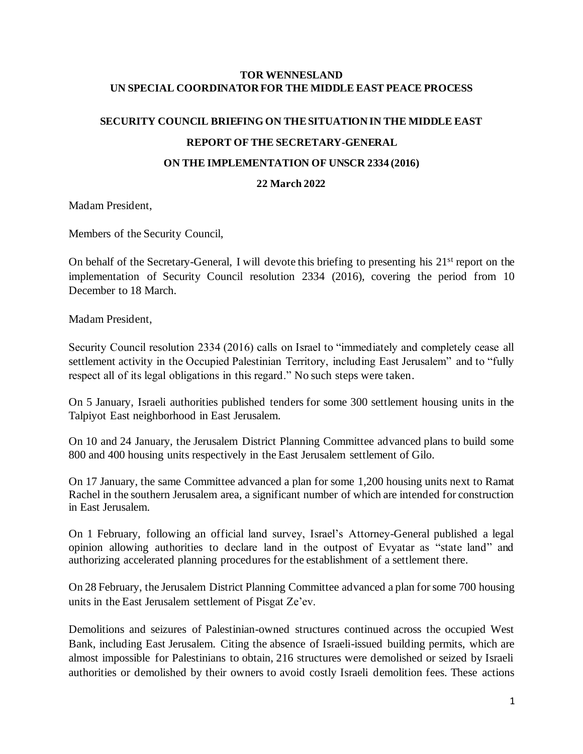#### **TOR WENNESLAND UN SPECIAL COORDINATOR FOR THE MIDDLE EAST PEACE PROCESS**

# **SECURITY COUNCIL BRIEFING ON THE SITUATION IN THE MIDDLE EAST REPORT OF THE SECRETARY-GENERAL**

#### **ON THE IMPLEMENTATION OF UNSCR 2334 (2016)**

### **22 March 2022**

Madam President,

Members of the Security Council,

On behalf of the Secretary-General, I will devote this briefing to presenting his 21<sup>st</sup> report on the implementation of Security Council resolution 2334 (2016), covering the period from 10 December to 18 March.

Madam President,

Security Council resolution 2334 (2016) calls on Israel to "immediately and completely cease all settlement activity in the Occupied Palestinian Territory, including East Jerusalem" and to "fully respect all of its legal obligations in this regard." No such steps were taken.

On 5 January, Israeli authorities published tenders for some 300 settlement housing units in the Talpiyot East neighborhood in East Jerusalem.

On 10 and 24 January, the Jerusalem District Planning Committee advanced plans to build some 800 and 400 housing units respectively in the East Jerusalem settlement of Gilo.

On 17 January, the same Committee advanced a plan for some 1,200 housing units next to Ramat Rachel in the southern Jerusalem area, a significant number of which are intended for construction in East Jerusalem.

On 1 February, following an official land survey, Israel's Attorney-General published a legal opinion allowing authorities to declare land in the outpost of Evyatar as "state land" and authorizing accelerated planning procedures for the establishment of a settlement there.

On 28 February, the Jerusalem District Planning Committee advanced a plan for some 700 housing units in the East Jerusalem settlement of Pisgat Ze'ev.

Demolitions and seizures of Palestinian-owned structures continued across the occupied West Bank, including East Jerusalem. Citing the absence of Israeli-issued building permits, which are almost impossible for Palestinians to obtain, 216 structures were demolished or seized by Israeli authorities or demolished by their owners to avoid costly Israeli demolition fees. These actions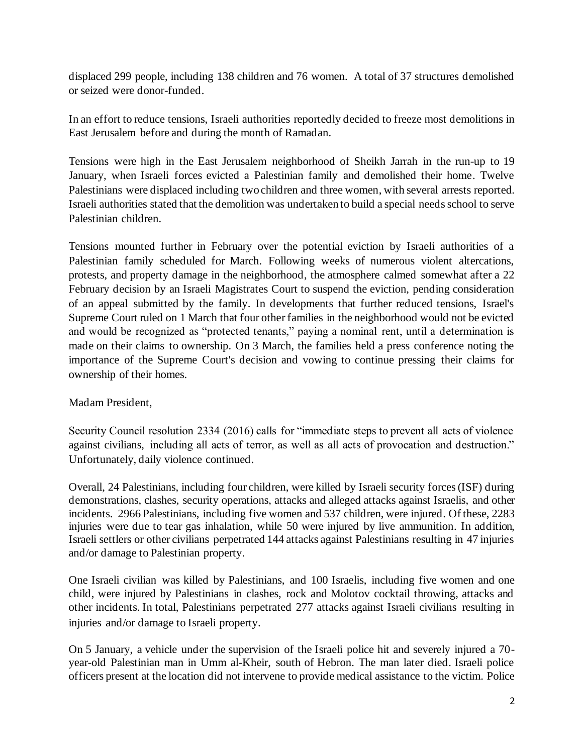displaced 299 people, including 138 children and 76 women. A total of 37 structures demolished or seized were donor-funded.

In an effort to reduce tensions, Israeli authorities reportedly decided to freeze most demolitions in East Jerusalem before and during the month of Ramadan.

Tensions were high in the East Jerusalem neighborhood of Sheikh Jarrah in the run-up to 19 January, when Israeli forces evicted a Palestinian family and demolished their home. Twelve Palestinians were displaced including two children and three women, with several arrests reported. Israeli authorities stated that the demolition was undertaken to build a special needs school to serve Palestinian children.

Tensions mounted further in February over the potential eviction by Israeli authorities of a Palestinian family scheduled for March. Following weeks of numerous violent altercations, protests, and property damage in the neighborhood, the atmosphere calmed somewhat after a 22 February decision by an Israeli Magistrates Court to suspend the eviction, pending consideration of an appeal submitted by the family. In developments that further reduced tensions, Israel's Supreme Court ruled on 1 March that four other families in the neighborhood would not be evicted and would be recognized as "protected tenants," paying a nominal rent, until a determination is made on their claims to ownership. On 3 March, the families held a press conference noting the importance of the Supreme Court's decision and vowing to continue pressing their claims for ownership of their homes.

## Madam President,

Security Council resolution 2334 (2016) calls for "immediate steps to prevent all acts of violence against civilians, including all acts of terror, as well as all acts of provocation and destruction." Unfortunately, daily violence continued.

Overall, 24 Palestinians, including four children, were killed by Israeli security forces (ISF) during demonstrations, clashes, security operations, attacks and alleged attacks against Israelis, and other incidents. 2966 Palestinians, including five women and 537 children, were injured. Of these, 2283 injuries were due to tear gas inhalation, while 50 were injured by live ammunition. In addition, Israeli settlers or other civilians perpetrated 144 attacks against Palestinians resulting in 47 injuries and/or damage to Palestinian property.

One Israeli civilian was killed by Palestinians, and 100 Israelis, including five women and one child, were injured by Palestinians in clashes, rock and Molotov cocktail throwing, attacks and other incidents. In total, Palestinians perpetrated 277 attacks against Israeli civilians resulting in injuries and/or damage to Israeli property.

On 5 January, a vehicle under the supervision of the Israeli police hit and severely injured a 70 year-old Palestinian man in Umm al-Kheir, south of Hebron. The man later died. Israeli police officers present at the location did not intervene to provide medical assistance to the victim. Police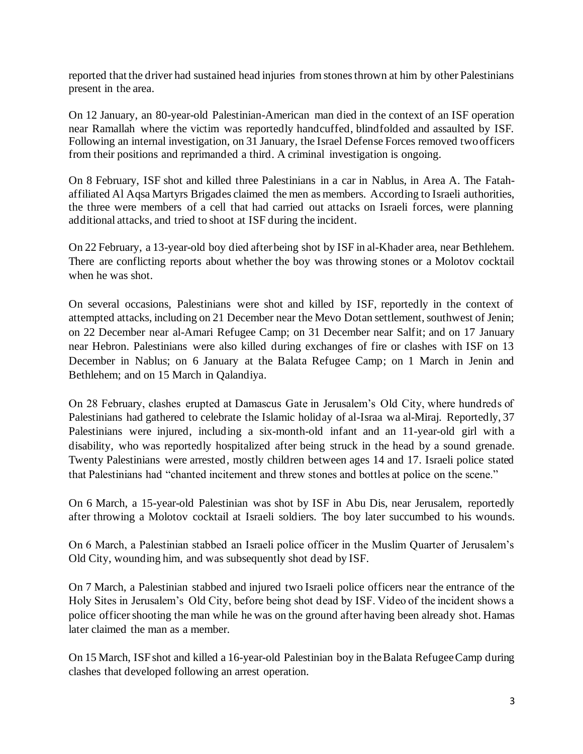reported that the driver had sustained head injuries from stones thrown at him by other Palestinians present in the area.

On 12 January, an 80-year-old Palestinian-American man died in the context of an ISF operation near Ramallah where the victim was reportedly handcuffed, blindfolded and assaulted by ISF. Following an internal investigation, on 31 January, the Israel Defense Forces removed two officers from their positions and reprimanded a third. A criminal investigation is ongoing.

On 8 February, ISF shot and killed three Palestinians in a car in Nablus, in Area A. The Fatahaffiliated Al Aqsa Martyrs Brigades claimed the men as members. According to Israeli authorities, the three were members of a cell that had carried out attacks on Israeli forces, were planning additional attacks, and tried to shoot at ISF during the incident.

On 22 February, a 13-year-old boy died after being shot by ISF in al-Khader area, near Bethlehem. There are conflicting reports about whether the boy was throwing stones or a Molotov cocktail when he was shot.

On several occasions, Palestinians were shot and killed by ISF, reportedly in the context of attempted attacks, including on 21 December near the Mevo Dotan settlement, southwest of Jenin; on 22 December near al-Amari Refugee Camp; on 31 December near Salfit; and on 17 January near Hebron. Palestinians were also killed during exchanges of fire or clashes with ISF on 13 December in Nablus; on 6 January at the Balata Refugee Camp; on 1 March in Jenin and Bethlehem; and on 15 March in Qalandiya.

On 28 February, clashes erupted at Damascus Gate in Jerusalem's Old City, where hundreds of Palestinians had gathered to celebrate the Islamic holiday of al-Israa wa al-Miraj. Reportedly, 37 Palestinians were injured, including a six-month-old infant and an 11-year-old girl with a disability, who was reportedly hospitalized after being struck in the head by a sound grenade. Twenty Palestinians were arrested, mostly children between ages 14 and 17. Israeli police stated that Palestinians had "chanted incitement and threw stones and bottles at police on the scene."

On 6 March, a 15-year-old Palestinian was shot by ISF in Abu Dis, near Jerusalem, reportedly after throwing a Molotov cocktail at Israeli soldiers. The boy later succumbed to his wounds.

On 6 March, a Palestinian stabbed an Israeli police officer in the Muslim Quarter of Jerusalem's Old City, wounding him, and was subsequently shot dead by ISF.

On 7 March, a Palestinian stabbed and injured two Israeli police officers near the entrance of the Holy Sites in Jerusalem's Old City, before being shot dead by ISF. Video of the incident shows a police officer shooting the man while he was on the ground after having been already shot. Hamas later claimed the man as a member.

On 15 March, ISF shot and killed a 16-year-old Palestinian boy in the Balata Refugee Camp during clashes that developed following an arrest operation.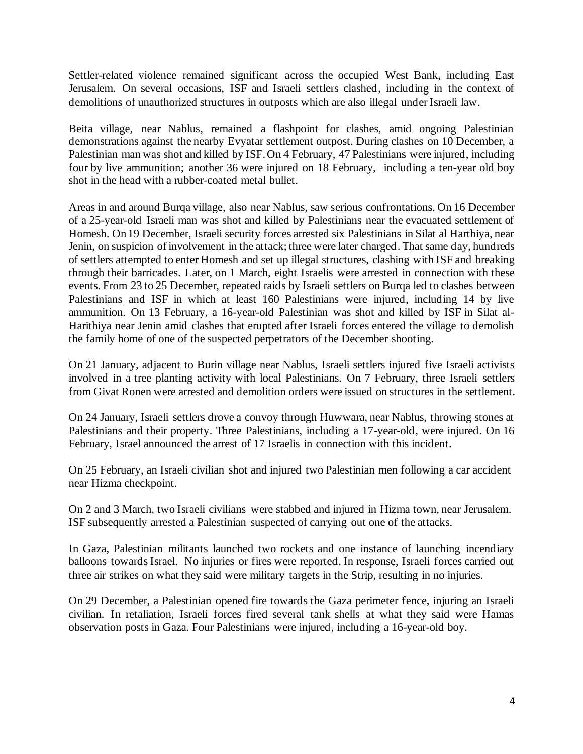Settler-related violence remained significant across the occupied West Bank, including East Jerusalem. On several occasions, ISF and Israeli settlers clashed, including in the context of demolitions of unauthorized structures in outposts which are also illegal under Israeli law.

Beita village, near Nablus, remained a flashpoint for clashes, amid ongoing Palestinian demonstrations against the nearby Evyatar settlement outpost. During clashes on 10 December, a Palestinian man was shot and killed by ISF. On 4 February, 47 Palestinians were injured, including four by live ammunition; another 36 were injured on 18 February, including a ten-year old boy shot in the head with a rubber-coated metal bullet.

Areas in and around Burqa village, also near Nablus, saw serious confrontations. On 16 December of a 25-year-old Israeli man was shot and killed by Palestinians near the evacuated settlement of Homesh. On 19 December, Israeli security forces arrested six Palestinians in Silat al Harthiya, near Jenin, on suspicion of involvement in the attack; three were later charged. That same day, hundreds of settlers attempted to enter Homesh and set up illegal structures, clashing with ISF and breaking through their barricades. Later, on 1 March, eight Israelis were arrested in connection with these events. From 23 to 25 December, repeated raids by Israeli settlers on Burqa led to clashes between Palestinians and ISF in which at least 160 Palestinians were injured, including 14 by live ammunition. On 13 February, a 16-year-old Palestinian was shot and killed by ISF in Silat al-Harithiya near Jenin amid clashes that erupted after Israeli forces entered the village to demolish the family home of one of the suspected perpetrators of the December shooting.

On 21 January, adjacent to Burin village near Nablus, Israeli settlers injured five Israeli activists involved in a tree planting activity with local Palestinians. On 7 February, three Israeli settlers from Givat Ronen were arrested and demolition orders were issued on structures in the settlement.

On 24 January, Israeli settlers drove a convoy through Huwwara, near Nablus, throwing stones at Palestinians and their property. Three Palestinians, including a 17-year-old, were injured. On 16 February, Israel announced the arrest of 17 Israelis in connection with this incident.

On 25 February, an Israeli civilian shot and injured two Palestinian men following a car accident near Hizma checkpoint.

On 2 and 3 March, two Israeli civilians were stabbed and injured in Hizma town, near Jerusalem. ISF subsequently arrested a Palestinian suspected of carrying out one of the attacks.

In Gaza, Palestinian militants launched two rockets and one instance of launching incendiary balloons towards Israel. No injuries or fires were reported. In response, Israeli forces carried out three air strikes on what they said were military targets in the Strip, resulting in no injuries.

On 29 December, a Palestinian opened fire towards the Gaza perimeter fence, injuring an Israeli civilian. In retaliation, Israeli forces fired several tank shells at what they said were Hamas observation posts in Gaza. Four Palestinians were injured, including a 16-year-old boy.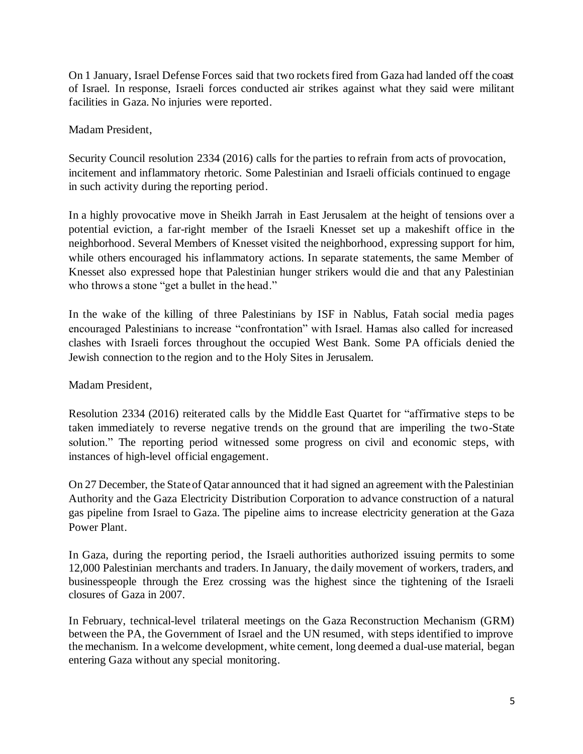On 1 January, Israel Defense Forces said that two rockets fired from Gaza had landed off the coast of Israel. In response, Israeli forces conducted air strikes against what they said were militant facilities in Gaza. No injuries were reported.

## Madam President,

Security Council resolution 2334 (2016) calls for the parties to refrain from acts of provocation, incitement and inflammatory rhetoric. Some Palestinian and Israeli officials continued to engage in such activity during the reporting period.

In a highly provocative move in Sheikh Jarrah in East Jerusalem at the height of tensions over a potential eviction, a far-right member of the Israeli Knesset set up a makeshift office in the neighborhood. Several Members of Knesset visited the neighborhood, expressing support for him, while others encouraged his inflammatory actions. In separate statements, the same Member of Knesset also expressed hope that Palestinian hunger strikers would die and that any Palestinian who throws a stone "get a bullet in the head."

In the wake of the killing of three Palestinians by ISF in Nablus, Fatah social media pages encouraged Palestinians to increase "confrontation" with Israel. Hamas also called for increased clashes with Israeli forces throughout the occupied West Bank. Some PA officials denied the Jewish connection to the region and to the Holy Sites in Jerusalem.

Madam President,

Resolution 2334 (2016) reiterated calls by the Middle East Quartet for "affirmative steps to be taken immediately to reverse negative trends on the ground that are imperiling the two-State solution." The reporting period witnessed some progress on civil and economic steps, with instances of high-level official engagement.

On 27 December, the State of Qatar announced that it had signed an agreement with the Palestinian Authority and the Gaza Electricity Distribution Corporation to advance construction of a natural gas pipeline from Israel to Gaza. The pipeline aims to increase electricity generation at the Gaza Power Plant.

In Gaza, during the reporting period, the Israeli authorities authorized issuing permits to some 12,000 Palestinian merchants and traders. In January, the daily movement of workers, traders, and businesspeople through the Erez crossing was the highest since the tightening of the Israeli closures of Gaza in 2007.

In February, technical-level trilateral meetings on the Gaza Reconstruction Mechanism (GRM) between the PA, the Government of Israel and the UN resumed, with steps identified to improve the mechanism. In a welcome development, white cement, long deemed a dual-use material, began entering Gaza without any special monitoring.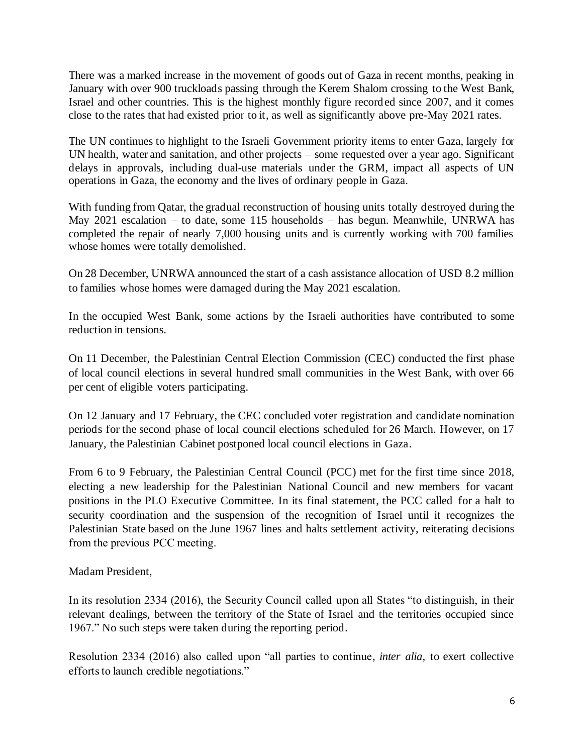There was a marked increase in the movement of goods out of Gaza in recent months, peaking in January with over 900 truckloads passing through the Kerem Shalom crossing to the West Bank, Israel and other countries. This is the highest monthly figure recorded since 2007, and it comes close to the rates that had existed prior to it, as well as significantly above pre-May 2021 rates.

The UN continues to highlight to the Israeli Government priority items to enter Gaza, largely for UN health, water and sanitation, and other projects – some requested over a year ago. Significant delays in approvals, including dual-use materials under the GRM, impact all aspects of UN operations in Gaza, the economy and the lives of ordinary people in Gaza.

With funding from Qatar, the gradual reconstruction of housing units totally destroyed during the May 2021 escalation – to date, some 115 households – has begun. Meanwhile, UNRWA has completed the repair of nearly 7,000 housing units and is currently working with 700 families whose homes were totally demolished.

On 28 December, UNRWA announced the start of a cash assistance allocation of USD 8.2 million to families whose homes were damaged during the May 2021 escalation.

In the occupied West Bank, some actions by the Israeli authorities have contributed to some reduction in tensions.

On 11 December, the Palestinian Central Election Commission (CEC) conducted the first phase of local council elections in several hundred small communities in the West Bank, with over 66 per cent of eligible voters participating.

On 12 January and 17 February, the CEC concluded voter registration and candidate nomination periods for the second phase of local council elections scheduled for 26 March. However, on 17 January, the Palestinian Cabinet postponed local council elections in Gaza.

From 6 to 9 February, the Palestinian Central Council (PCC) met for the first time since 2018, electing a new leadership for the Palestinian National Council and new members for vacant positions in the PLO Executive Committee. In its final statement, the PCC called for a halt to security coordination and the suspension of the recognition of Israel until it recognizes the Palestinian State based on the June 1967 lines and halts settlement activity, reiterating decisions from the previous PCC meeting. 

Madam President,

In its resolution 2334 (2016), the Security Council called upon all States "to distinguish, in their relevant dealings, between the territory of the State of Israel and the territories occupied since 1967." No such steps were taken during the reporting period.

Resolution 2334 (2016) also called upon "all parties to continue*, inter alia*, to exert collective efforts to launch credible negotiations."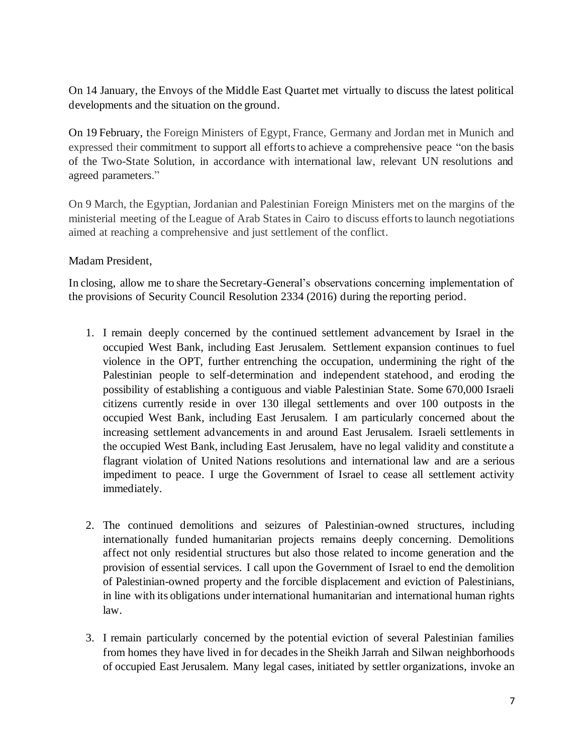On 14 January, the Envoys of the Middle East Quartet met virtually to discuss the latest political developments and the situation on the ground.

On 19 February, the Foreign Ministers of Egypt, France, Germany and Jordan met in Munich and expressed their commitment to support all efforts to achieve a comprehensive peace "on the basis of the Two-State Solution, in accordance with international law, relevant UN resolutions and agreed parameters."

On 9 March, the Egyptian, Jordanian and Palestinian Foreign Ministers met on the margins of the ministerial meeting of the League of Arab States in Cairo to discuss efforts to launch negotiations aimed at reaching a comprehensive and just settlement of the conflict.

### Madam President,

In closing, allow me to share the Secretary-General's observations concerning implementation of the provisions of Security Council Resolution 2334 (2016) during the reporting period.

- 1. I remain deeply concerned by the continued settlement advancement by Israel in the occupied West Bank, including East Jerusalem. Settlement expansion continues to fuel violence in the OPT, further entrenching the occupation, undermining the right of the Palestinian people to self-determination and independent statehood, and eroding the possibility of establishing a contiguous and viable Palestinian State. Some 670,000 Israeli citizens currently reside in over 130 illegal settlements and over 100 outposts in the occupied West Bank, including East Jerusalem. I am particularly concerned about the increasing settlement advancements in and around East Jerusalem. Israeli settlements in the occupied West Bank, including East Jerusalem, have no legal validity and constitute a flagrant violation of United Nations resolutions and international law and are a serious impediment to peace. I urge the Government of Israel to cease all settlement activity immediately.
- 2. The continued demolitions and seizures of Palestinian-owned structures, including internationally funded humanitarian projects remains deeply concerning. Demolitions affect not only residential structures but also those related to income generation and the provision of essential services. I call upon the Government of Israel to end the demolition of Palestinian-owned property and the forcible displacement and eviction of Palestinians, in line with its obligations under international humanitarian and international human rights law.
- 3. I remain particularly concerned by the potential eviction of several Palestinian families from homes they have lived in for decades in the Sheikh Jarrah and Silwan neighborhoods of occupied East Jerusalem. Many legal cases, initiated by settler organizations, invoke an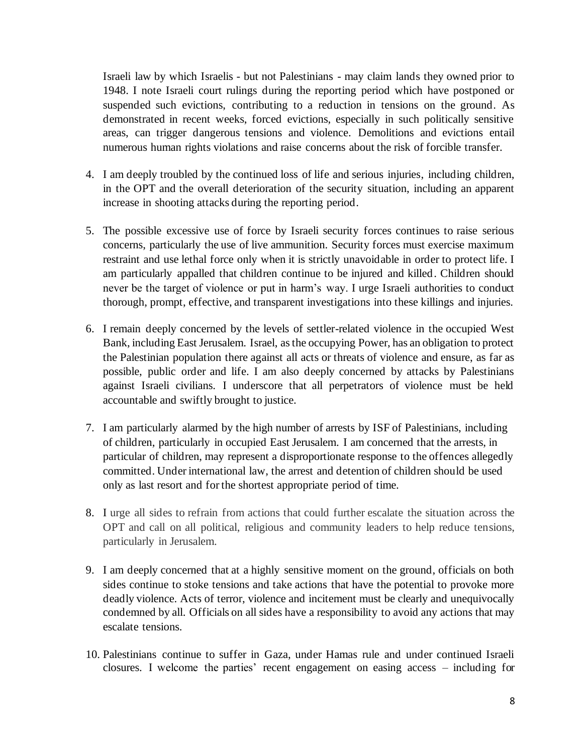Israeli law by which Israelis - but not Palestinians - may claim lands they owned prior to 1948. I note Israeli court rulings during the reporting period which have postponed or suspended such evictions, contributing to a reduction in tensions on the ground. As demonstrated in recent weeks, forced evictions, especially in such politically sensitive areas, can trigger dangerous tensions and violence. Demolitions and evictions entail numerous human rights violations and raise concerns about the risk of forcible transfer.

- 4. I am deeply troubled by the continued loss of life and serious injuries, including children, in the OPT and the overall deterioration of the security situation, including an apparent increase in shooting attacks during the reporting period.
- 5. The possible excessive use of force by Israeli security forces continues to raise serious concerns, particularly the use of live ammunition. Security forces must exercise maximum restraint and use lethal force only when it is strictly unavoidable in order to protect life. I am particularly appalled that children continue to be injured and killed. Children should never be the target of violence or put in harm's way. I urge Israeli authorities to conduct thorough, prompt, effective, and transparent investigations into these killings and injuries.
- 6. I remain deeply concerned by the levels of settler-related violence in the occupied West Bank, including East Jerusalem. Israel, as the occupying Power, has an obligation to protect the Palestinian population there against all acts or threats of violence and ensure, as far as possible, public order and life. I am also deeply concerned by attacks by Palestinians against Israeli civilians. I underscore that all perpetrators of violence must be held accountable and swiftly brought to justice.
- 7. I am particularly alarmed by the high number of arrests by ISF of Palestinians, including of children, particularly in occupied East Jerusalem. I am concerned that the arrests, in particular of children, may represent a disproportionate response to the offences allegedly committed. Under international law, the arrest and detention of children should be used only as last resort and for the shortest appropriate period of time.
- 8. I urge all sides to refrain from actions that could further escalate the situation across the OPT and call on all political, religious and community leaders to help reduce tensions, particularly in Jerusalem.
- 9. I am deeply concerned that at a highly sensitive moment on the ground, officials on both sides continue to stoke tensions and take actions that have the potential to provoke more deadly violence. Acts of terror, violence and incitement must be clearly and unequivocally condemned by all. Officials on all sides have a responsibility to avoid any actions that may escalate tensions.
- 10. Palestinians continue to suffer in Gaza, under Hamas rule and under continued Israeli closures. I welcome the parties' recent engagement on easing access – including for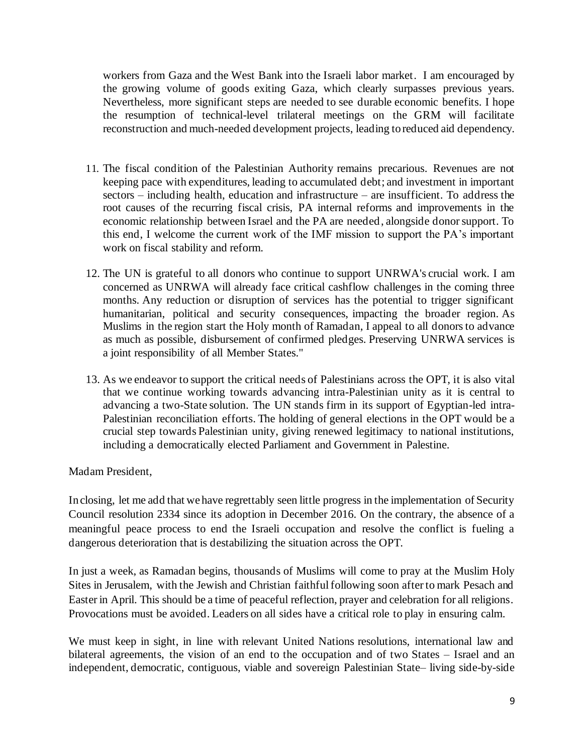workers from Gaza and the West Bank into the Israeli labor market. I am encouraged by the growing volume of goods exiting Gaza, which clearly surpasses previous years. Nevertheless, more significant steps are needed to see durable economic benefits. I hope the resumption of technical-level trilateral meetings on the GRM will facilitate reconstruction and much-needed development projects, leading to reduced aid dependency.

- 11. The fiscal condition of the Palestinian Authority remains precarious. Revenues are not keeping pace with expenditures, leading to accumulated debt; and investment in important sectors – including health, education and infrastructure – are insufficient. To address the root causes of the recurring fiscal crisis, PA internal reforms and improvements in the economic relationship between Israel and the PA are needed, alongside donor support. To this end, I welcome the current work of the IMF mission to support the PA's important work on fiscal stability and reform.
- 12. The UN is grateful to all donors who continue to support UNRWA's crucial work. I am concerned as UNRWA will already face critical cashflow challenges in the coming three months. Any reduction or disruption of services has the potential to trigger significant humanitarian, political and security consequences, impacting the broader region. As Muslims in the region start the Holy month of Ramadan, I appeal to all donors to advance as much as possible, disbursement of confirmed pledges. Preserving UNRWA services is a joint responsibility of all Member States."
- 13. As we endeavor to support the critical needs of Palestinians across the OPT, it is also vital that we continue working towards advancing intra-Palestinian unity as it is central to advancing a two-State solution. The UN stands firm in its support of Egyptian-led intra-Palestinian reconciliation efforts. The holding of general elections in the OPT would be a crucial step towards Palestinian unity, giving renewed legitimacy to national institutions, including a democratically elected Parliament and Government in Palestine.

Madam President,

In closing, let me add that we have regrettably seen little progress in the implementation of Security Council resolution 2334 since its adoption in December 2016. On the contrary, the absence of a meaningful peace process to end the Israeli occupation and resolve the conflict is fueling a dangerous deterioration that is destabilizing the situation across the OPT.

In just a week, as Ramadan begins, thousands of Muslims will come to pray at the Muslim Holy Sites in Jerusalem, with the Jewish and Christian faithful following soon after to mark Pesach and Easter in April. This should be a time of peaceful reflection, prayer and celebration for all religions. Provocations must be avoided. Leaders on all sides have a critical role to play in ensuring calm.

We must keep in sight, in line with relevant United Nations resolutions, international law and bilateral agreements, the vision of an end to the occupation and of two States – Israel and an independent, democratic, contiguous, viable and sovereign Palestinian State– living side-by-side